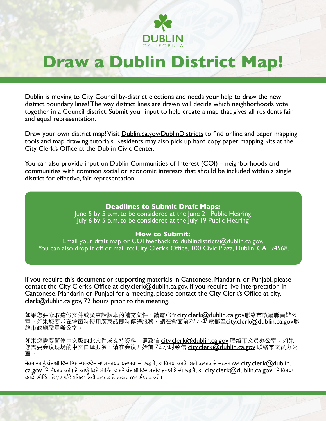

# **Draw a Dublin District Map!**

Dublin is moving to City Council by-district elections and needs your help to draw the new district boundary lines! The way district lines are drawn will decide which neighborhoods vote together in a Council district. Submit your input to help create a map that gives all residents fair and equal representation.

Draw your own district map! Visit [Dublin.ca.gov/DublinDistricts](http://Dublin.ca.gov/DublinDistricts) to find online and paper mapping tools and map drawing tutorials. Residents may also pick up hard copy paper mapping kits at the City Clerk's Office at the Dublin Civic Center.

You can also provide input on Dublin Communities of Interest (COI) – neighborhoods and communities with common social or economic interests that should be included within a single district for effective, fair representation.

#### **Deadlines to Submit Draft Maps:**

June 5 by 5 p.m. to be considered at the June 21 Public Hearing July 6 by 5 p.m. to be considered at the July 19 Public Hearing

#### **How to Submit:**

Email your draft map or COI feedback to [dublindistricts@dublin.ca.gov](mailto:dublindistricts%40dublin.ca.gov?subject=). You can also drop it off or mail to: City Clerk's Office, 100 Civic Plaza, Dublin, CA 94568.

If you require this document or supporting materials in Cantonese, Mandarin, or Punjabi, please contact the City Clerk's Office at [city.clerk@dublin.ca.gov](mailto:city.clerk%40dublin.ca.gov?subject=). If you require live interpretation in Cantonese, Mandarin or Punjabi for a meeting, please contact the City Clerk's Office at [city.](mailto:city.clerk%40dublin.ca.gov?subject=)  $c$ lerk@dublin.ca.gov, 72 hours prior to the meeting.

如果您要索取這份文件或廣東話版本的補充文件,請電郵至[city.clerk@dublin.ca.gov](mailto:city.clerk%40dublin.ca.gov?subject=)聯絡市政廳職員辦公 室。如果您要求在會面時使用廣東話即時傳譯服務,請在會面前72 小時電郵至<u>city.clerk@dublin.ca.gov</u>聯 絡市政廳職員辦公室。

如果您需要简体中文版的此文件或支持资料,请致信 city.clerk@dublin.ca.gov 联络市文员办公室。如果 您需要会议现场的中文口译服务,请在会议开始前 72 小时致信 city.clerk@dublin.ca.gov 联络市文员办公 室。

ਜੇਕਰ ਤਹਾਨੰ ਪੰਜਾਬੀ ਵਿੱਚ ਇਸ ਦਸਤਾਵੇਜ਼ ਜਾਂ ਸਮਰਥਕ ਪਦਾਰਥਾਂ ਦੀ ਲੋੜ ਹੈ, ਤਾਂ ਕਿਰਪਾ ਕਰਕੇ ਸਿਟੀ ਕਲਰਕ ਦੇ ਦਫਤਰ ਨਾਲ city.clerk@dublin.  $\sf{c}a.go$ v  $\rm{~\bar{3}}$  ਸੰਪਰਕ ਕਰੋ। ਜੇ ਤਹਾਨੰ ਕਿਸੇ ਮੀਟਿੰਗ ਵਾਸਤੇ ਪੰਜਾਬੀ ਵਿੱਚ ਸਜੀਵ ਦਭਾਸ਼ੀਏ ਦੀ ਲੋੜ ਹੈ, ਤਾਂ <code>[city.clerk@dublin.ca.gov](mailto:city.clerk%40dublin.ca.gov?subject=)</code> 'ਤੇ ਕਿਰਪਾ ਕਰਕੇ ਮੀਟਿੰਗ ਦੇ 72 ਘੰਟੇ ਪਹਿਲਾਂ ਸਿਟੀ ਕਲਰਕ ਦੇ ਦਫਤਰ ਨਾਲ ਸੰਪਰਕ ਕਰੋ।